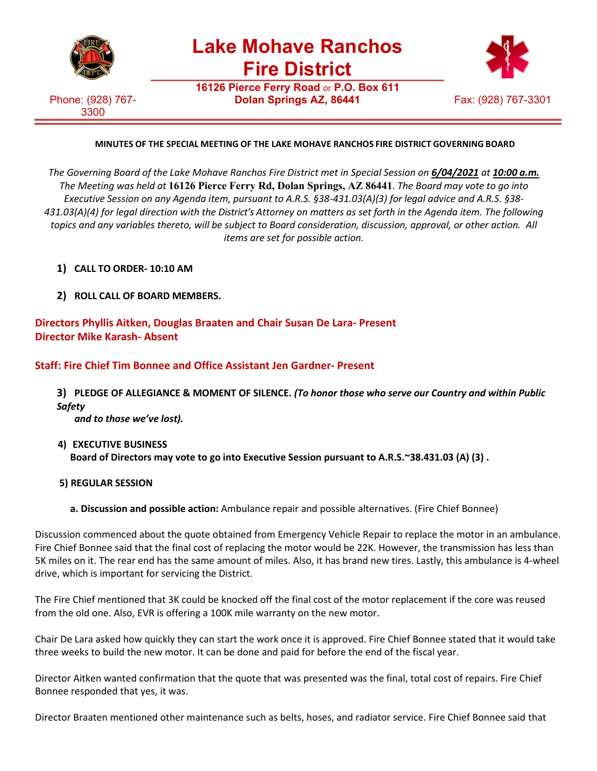

**Lake Mohave Ranchos Fire District**

**16126 Pierce Ferry Road** or **P.O. Box 611**

Phone: (928) 767- 3300



## **MINUTES OF THE SPECIAL MEETING OF THE LAKE MOHAVE RANCHOS FIRE DISTRICT GOVERNING BOARD**

*The Governing Board of the Lake Mohave Ranchos Fire District met in Special Session on 6/04/2021 at 10:00 a.m. The Meeting was held at* **16126 Pierce Ferry Rd, Dolan Springs, AZ 86441**. *The Board may vote to go into Executive Session on any Agenda item, pursuant to A.R.S. §38-431.03(A)(3) for legal advice and A.R.S. §38- 431.03(A)(4) for legal direction with the District's Attorney on matters as set forth in the Agenda item. The following topics and any variables thereto, will be subject to Board consideration, discussion, approval, or other action. All items are set for possible action.*

- **1) CALL TO ORDER- 10:10 AM**
- **2) ROLL CALL OF BOARD MEMBERS.**

**Directors Phyllis Aitken, Douglas Braaten and Chair Susan De Lara- Present Director Mike Karash- Absent**

**Staff: Fire Chief Tim Bonnee and Office Assistant Jen Gardner- Present**

**3) PLEDGE OF ALLEGIANCE & MOMENT OF SILENCE.** *(To honor those who serve our Country and within Public Safety*

*and to those we've lost).*

- **4) EXECUTIVE BUSINESS Board of Directors may vote to go into Executive Session pursuant to A.R.S.~38.431.03 (A) (3) .**
- **5) REGULAR SESSION**
	- **a. Discussion and possible action:** Ambulance repair and possible alternatives. (Fire Chief Bonnee)

Discussion commenced about the quote obtained from Emergency Vehicle Repair to replace the motor in an ambulance. Fire Chief Bonnee said that the final cost of replacing the motor would be 22K. However, the transmission has less than 5K miles on it. The rear end has the same amount of miles. Also, it has brand new tires. Lastly, this ambulance is 4-wheel drive, which is important for servicing the District.

The Fire Chief mentioned that 3K could be knocked off the final cost of the motor replacement if the core was reused from the old one. Also, EVR is offering a 100K mile warranty on the new motor.

Chair De Lara asked how quickly they can start the work once it is approved. Fire Chief Bonnee stated that it would take three weeks to build the new motor. It can be done and paid for before the end of the fiscal year.

Director Aitken wanted confirmation that the quote that was presented was the final, total cost of repairs. Fire Chief Bonnee responded that yes, it was.

Director Braaten mentioned other maintenance such as belts, hoses, and radiator service. Fire Chief Bonnee said that